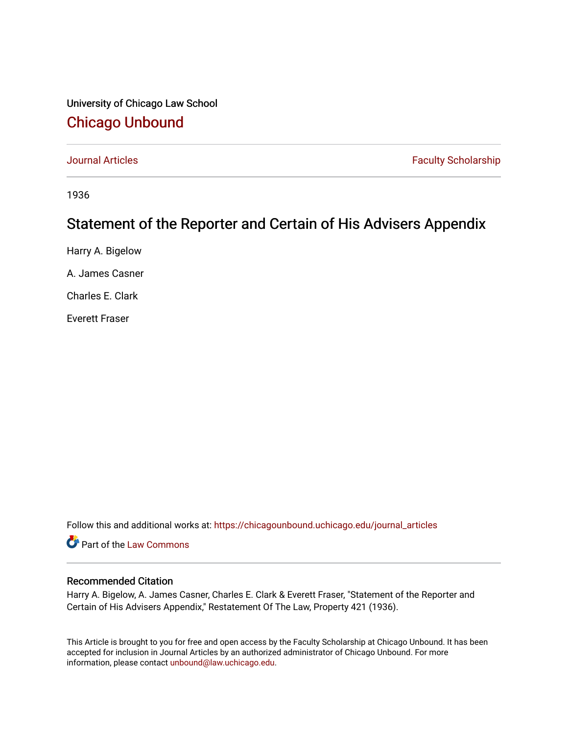## University of Chicago Law School [Chicago Unbound](https://chicagounbound.uchicago.edu/)

[Journal Articles](https://chicagounbound.uchicago.edu/journal_articles) **Faculty Scholarship Journal Articles** 

1936

## Statement of the Reporter and Certain of His Advisers Appendix

Harry A. Bigelow

A. James Casner

Charles E. Clark

Everett Fraser

Follow this and additional works at: [https://chicagounbound.uchicago.edu/journal\\_articles](https://chicagounbound.uchicago.edu/journal_articles?utm_source=chicagounbound.uchicago.edu%2Fjournal_articles%2F7578&utm_medium=PDF&utm_campaign=PDFCoverPages) 

Part of the [Law Commons](http://network.bepress.com/hgg/discipline/578?utm_source=chicagounbound.uchicago.edu%2Fjournal_articles%2F7578&utm_medium=PDF&utm_campaign=PDFCoverPages)

#### Recommended Citation

Harry A. Bigelow, A. James Casner, Charles E. Clark & Everett Fraser, "Statement of the Reporter and Certain of His Advisers Appendix," Restatement Of The Law, Property 421 (1936).

This Article is brought to you for free and open access by the Faculty Scholarship at Chicago Unbound. It has been accepted for inclusion in Journal Articles by an authorized administrator of Chicago Unbound. For more information, please contact [unbound@law.uchicago.edu](mailto:unbound@law.uchicago.edu).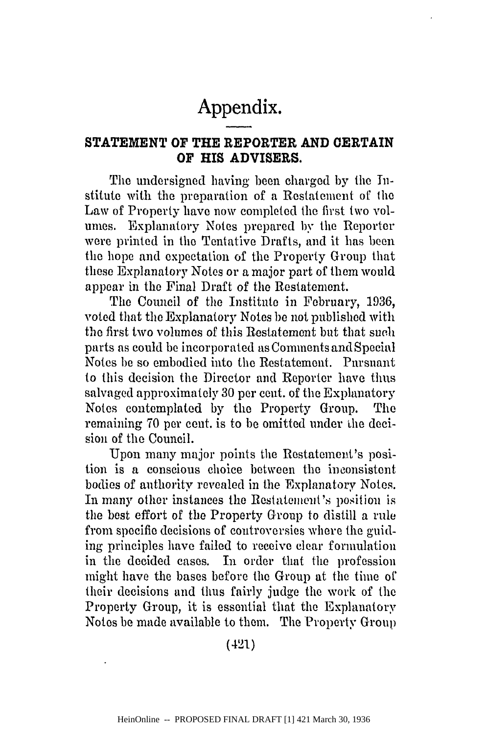# **Appendix.**

### **STATEMENT OF THE REPORTER AND CERTAIN OF HIS ADVISERS.**

The undersigned having been charged by the Institute with the preparation of a Restatement of the Law of Property have now completed the first two volumes. Explanatory Notes prepared by the Reporter were printed in the Tentative Drafts, and it has been the hope and expectation of the Property Group that these Explanatory Notes or a major part of them would appear in the Final Draft of the Restatement.

The Council of the Institute in February, 1936, voted that the Explanatory Notes be not published with the first two volumes of this Restatement but that such parts as could be incorporated as Comments and Special Notes be so embodied into the Restatement. Pursuant to this decision the Director and Reporter have thus salvaged approximately 30 per cent. of the Explanatory Notes contemplated by the Property Group. The remaining 70 per cent. is to be omitted under the decision of the Council.

Upon many major points the Restatement's position is a conscious choice between the inconsistent bodies of authority revealed in the Explanatory Notes. In many other instances the Restatement's position is the best effort of the Property Group to distill a rule from specific decisions of controversies where the guiding principles have failed to receive clear formulation in the decided cases. In order that the profession might have the bases before the Group at the time of their decisions and thus fairly judge the work of the Property Group, it is essential that the Explanatory Notes be made available to them. The Property Group

(421)